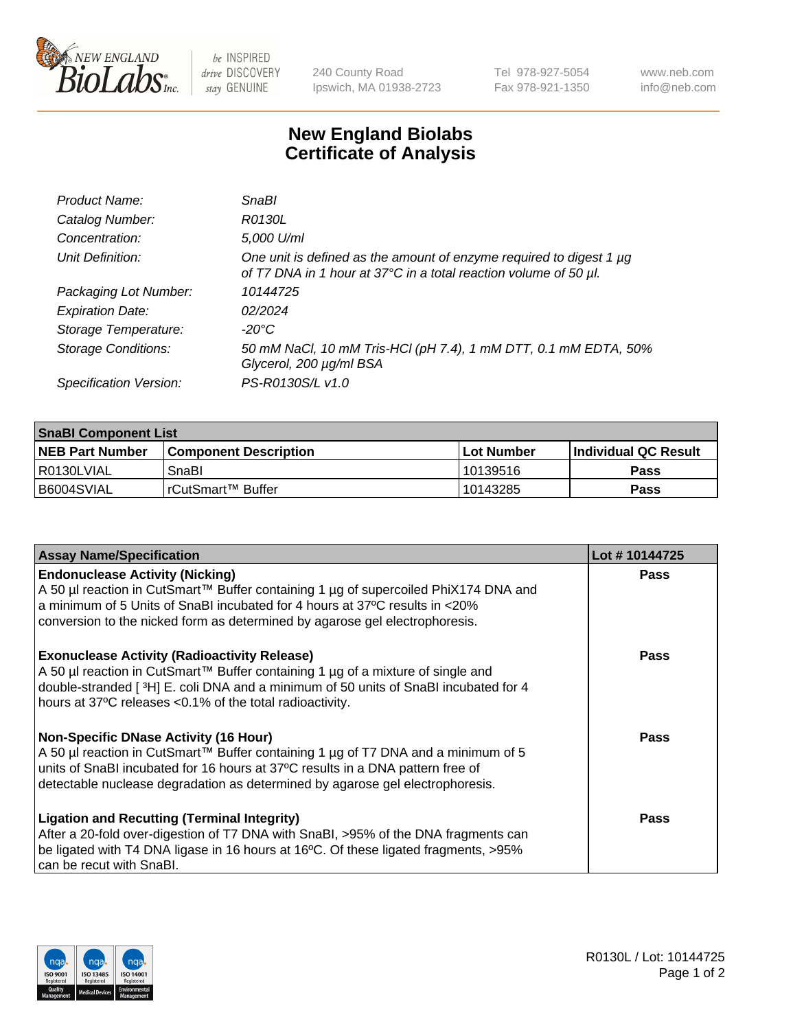

 $be$  INSPIRED drive DISCOVERY stay GENUINE

240 County Road Ipswich, MA 01938-2723 Tel 978-927-5054 Fax 978-921-1350 www.neb.com info@neb.com

## **New England Biolabs Certificate of Analysis**

| Product Name:              | <b>SnaBl</b>                                                                                                                            |
|----------------------------|-----------------------------------------------------------------------------------------------------------------------------------------|
| Catalog Number:            | R0130L                                                                                                                                  |
| Concentration:             | 5,000 U/ml                                                                                                                              |
| Unit Definition:           | One unit is defined as the amount of enzyme required to digest 1 µg<br>of T7 DNA in 1 hour at 37°C in a total reaction volume of 50 µl. |
| Packaging Lot Number:      | 10144725                                                                                                                                |
| <b>Expiration Date:</b>    | 02/2024                                                                                                                                 |
| Storage Temperature:       | $-20^{\circ}$ C                                                                                                                         |
| <b>Storage Conditions:</b> | 50 mM NaCl, 10 mM Tris-HCl (pH 7.4), 1 mM DTT, 0.1 mM EDTA, 50%<br>Glycerol, 200 µg/ml BSA                                              |
| Specification Version:     | PS-R0130S/L v1.0                                                                                                                        |

| <b>SnaBI Component List</b> |                              |              |                       |  |
|-----------------------------|------------------------------|--------------|-----------------------|--|
| <b>NEB Part Number</b>      | <b>Component Description</b> | l Lot Number | ∣Individual QC Result |  |
| l R0130LVIAL                | SnaBl                        | l 10139516   | Pass                  |  |
| B6004SVIAL                  | l rCutSmart™ Buffer          | 10143285     | Pass                  |  |

| <b>Assay Name/Specification</b>                                                                                                                                                                                                                                                                      | Lot #10144725 |
|------------------------------------------------------------------------------------------------------------------------------------------------------------------------------------------------------------------------------------------------------------------------------------------------------|---------------|
| <b>Endonuclease Activity (Nicking)</b><br>A 50 µl reaction in CutSmart™ Buffer containing 1 µg of supercoiled PhiX174 DNA and<br>a minimum of 5 Units of SnaBI incubated for 4 hours at 37°C results in <20%<br>conversion to the nicked form as determined by agarose gel electrophoresis.          | <b>Pass</b>   |
| <b>Exonuclease Activity (Radioactivity Release)</b><br>A 50 µl reaction in CutSmart™ Buffer containing 1 µg of a mixture of single and<br>double-stranded [3H] E. coli DNA and a minimum of 50 units of SnaBl incubated for 4<br>hours at 37°C releases <0.1% of the total radioactivity.            | Pass          |
| <b>Non-Specific DNase Activity (16 Hour)</b><br>A 50 µl reaction in CutSmart™ Buffer containing 1 µg of T7 DNA and a minimum of 5<br>units of SnaBI incubated for 16 hours at 37°C results in a DNA pattern free of<br>detectable nuclease degradation as determined by agarose gel electrophoresis. | <b>Pass</b>   |
| <b>Ligation and Recutting (Terminal Integrity)</b><br>After a 20-fold over-digestion of T7 DNA with SnaBI, >95% of the DNA fragments can<br>be ligated with T4 DNA ligase in 16 hours at 16°C. Of these ligated fragments, >95%<br>can be recut with SnaBl.                                          | Pass          |